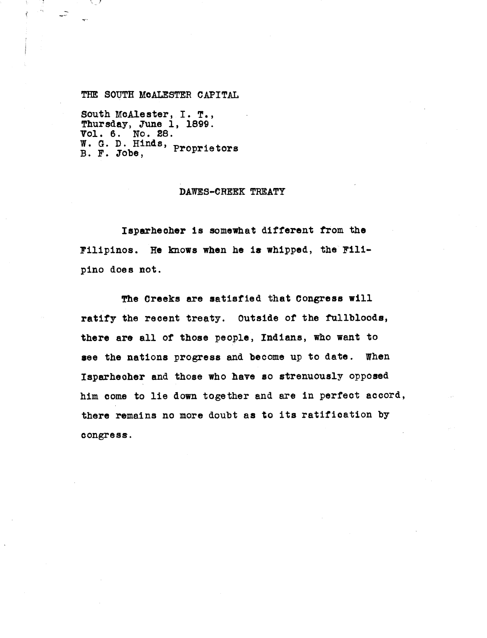## THE SOUTH MOALESTER CAPITAL

 $\sim$ 

South McAlester, I. T., Thursday, June 1, 1899. Vol. 6. No. 28. **W. G.** D. Hinds, Proprietors B. F. Jobe,

## DAWES-CREEK TREATY

Isparheoher is somewhat different from the Filipinos. He knows when he is whipped, the Fillpino does not.

The Creeks are satisfied that Congress will ratify the recent treaty. Outside of the fullbloods, there are all of those people, **Indians,** who want to see the nations progress and become up to date. When Isparheoher and those who have so strenuously opposed him come to lie down together and are in perfect accord, there remains no more doubt as to its ratification by congress.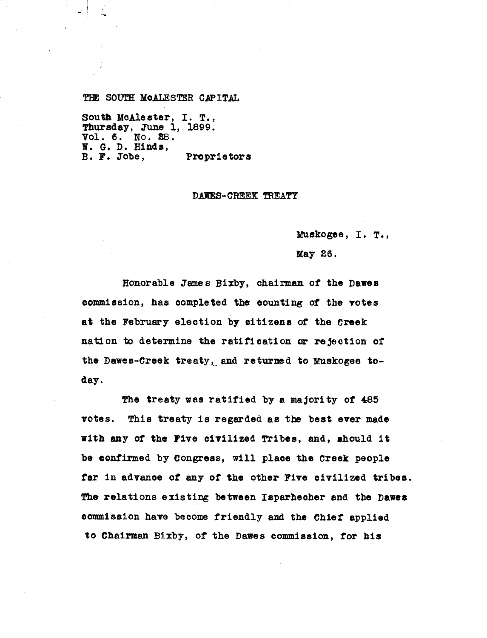ThE SOUTH McALESTER CAPITAL

South McAlester, I. T., Thursday, June 1, 1899. Vol. 6. to. 28. **W. G.** D. **Hinds, B. F. Jobe, Proprietors**

## DAWES-CREEK TREATY

Muskogee, I. T.,

May 26.

Honorable Tames Bixby, chairman of the Dawes commission, has completed the counting of the votes at the February election by citizens of the Creek nation to determine the ratification or rejection of the Dawes-Creek treaty, and returned to Muskogee today.

The treaty was ratified by a majority of 485 votes. This treaty is regarded as the best ever made with any of **the Five civilized** Tribes, and, should it be confirmed by Congress, will place the Creek people **far in advance of any of the other Five civilized tribes.** The relations existing between Isparhecher and the Dawes commission have become friendly and the Chief applied to Chairman Bixby, of the Dawes commission, for his